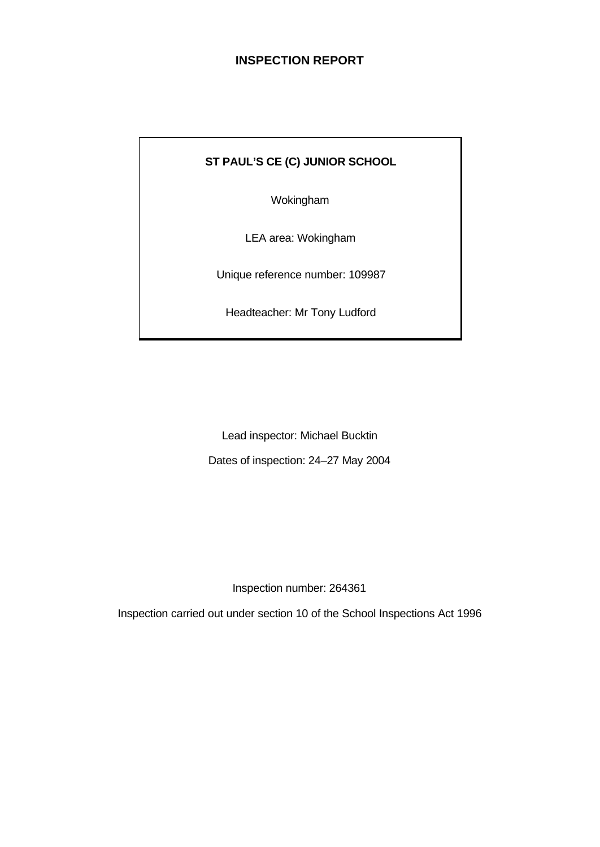# **INSPECTION REPORT**

# **ST PAUL'S CE (C) JUNIOR SCHOOL**

Wokingham

LEA area: Wokingham

Unique reference number: 109987

Headteacher: Mr Tony Ludford

Lead inspector: Michael Bucktin Dates of inspection: 24–27 May 2004

Inspection number: 264361

Inspection carried out under section 10 of the School Inspections Act 1996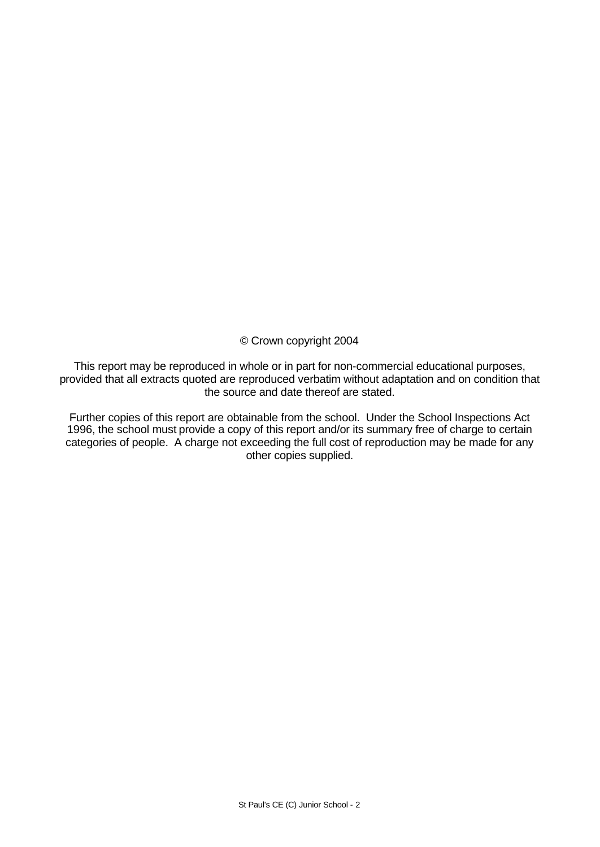© Crown copyright 2004

This report may be reproduced in whole or in part for non-commercial educational purposes, provided that all extracts quoted are reproduced verbatim without adaptation and on condition that the source and date thereof are stated.

Further copies of this report are obtainable from the school. Under the School Inspections Act 1996, the school must provide a copy of this report and/or its summary free of charge to certain categories of people. A charge not exceeding the full cost of reproduction may be made for any other copies supplied.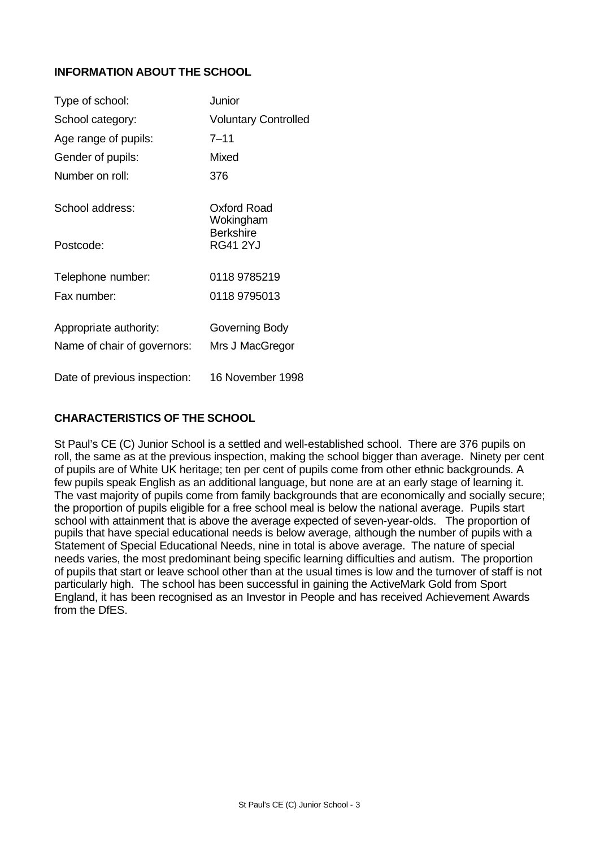## **INFORMATION ABOUT THE SCHOOL**

| Type of school:                                       | Junior                              |
|-------------------------------------------------------|-------------------------------------|
| School category:                                      | <b>Voluntary Controlled</b>         |
| Age range of pupils:                                  | $7 - 11$                            |
| Gender of pupils:                                     | Mixed                               |
| Number on roll:                                       | 376                                 |
| School address:                                       | Oxford Road<br>Wokingham            |
| Postcode:                                             | <b>Berkshire</b><br><b>RG41 2YJ</b> |
| Telephone number:                                     | 0118 9785219                        |
| Fax number:                                           | 0118 9795013                        |
| Appropriate authority:<br>Name of chair of governors: | Governing Body<br>Mrs J MacGregor   |
| Date of previous inspection:                          | 16 November 1998                    |

#### **CHARACTERISTICS OF THE SCHOOL**

St Paul's CE (C) Junior School is a settled and well-established school. There are 376 pupils on roll, the same as at the previous inspection, making the school bigger than average. Ninety per cent of pupils are of White UK heritage; ten per cent of pupils come from other ethnic backgrounds. A few pupils speak English as an additional language, but none are at an early stage of learning it. The vast majority of pupils come from family backgrounds that are economically and socially secure; the proportion of pupils eligible for a free school meal is below the national average. Pupils start school with attainment that is above the average expected of seven-year-olds. The proportion of pupils that have special educational needs is below average, although the number of pupils with a Statement of Special Educational Needs, nine in total is above average. The nature of special needs varies, the most predominant being specific learning difficulties and autism. The proportion of pupils that start or leave school other than at the usual times is low and the turnover of staff is not particularly high. The school has been successful in gaining the ActiveMark Gold from Sport England, it has been recognised as an Investor in People and has received Achievement Awards from the DfES.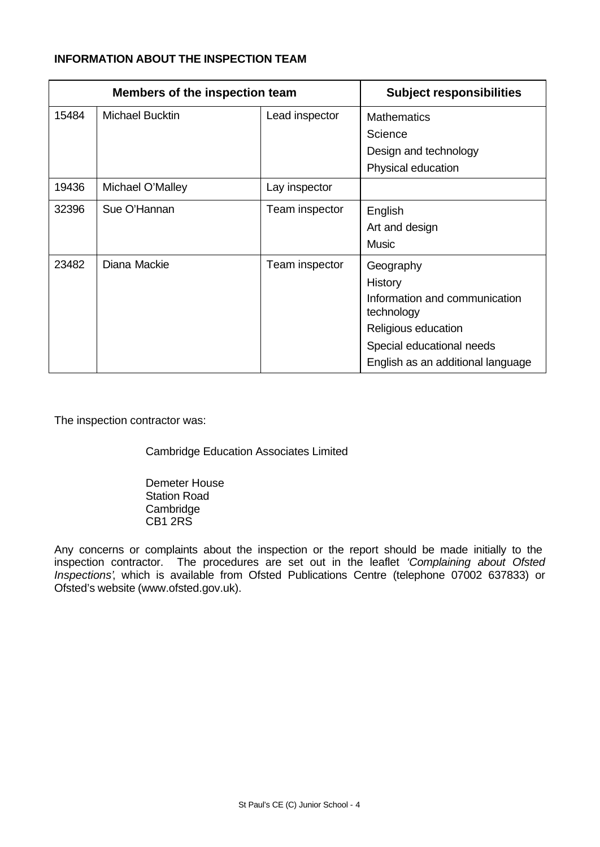#### **INFORMATION ABOUT THE INSPECTION TEAM**

| Members of the inspection team |                        |                | <b>Subject responsibilities</b>             |
|--------------------------------|------------------------|----------------|---------------------------------------------|
| 15484                          | <b>Michael Bucktin</b> | Lead inspector | <b>Mathematics</b>                          |
|                                |                        |                | Science                                     |
|                                |                        |                | Design and technology                       |
|                                |                        |                | Physical education                          |
| 19436                          | Michael O'Malley       | Lay inspector  |                                             |
| 32396                          | Sue O'Hannan           | Team inspector | English                                     |
|                                |                        |                | Art and design                              |
|                                |                        |                | <b>Music</b>                                |
| 23482                          | Diana Mackie           | Team inspector | Geography                                   |
|                                |                        |                | History                                     |
|                                |                        |                | Information and communication<br>technology |
|                                |                        |                | Religious education                         |
|                                |                        |                | Special educational needs                   |
|                                |                        |                | English as an additional language           |

The inspection contractor was:

Cambridge Education Associates Limited

Demeter House Station Road Cambridge CB1 2RS

Any concerns or complaints about the inspection or the report should be made initially to the inspection contractor. The procedures are set out in the leaflet *'Complaining about Ofsted Inspections'*, which is available from Ofsted Publications Centre (telephone 07002 637833) or Ofsted's website (www.ofsted.gov.uk).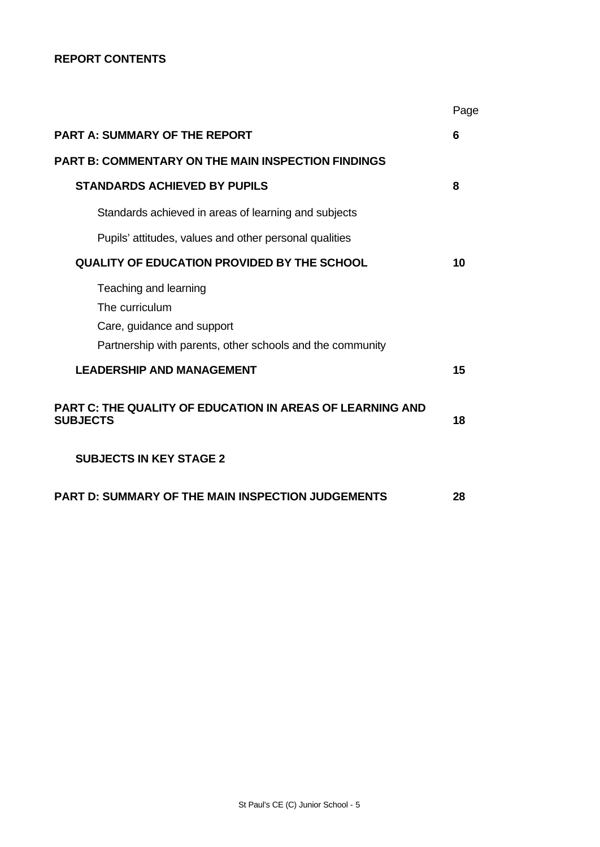#### **REPORT CONTENTS**

|                                                                                                                                    | Page |
|------------------------------------------------------------------------------------------------------------------------------------|------|
| <b>PART A: SUMMARY OF THE REPORT</b>                                                                                               | 6    |
| <b>PART B: COMMENTARY ON THE MAIN INSPECTION FINDINGS</b>                                                                          |      |
| <b>STANDARDS ACHIEVED BY PUPILS</b>                                                                                                | 8    |
| Standards achieved in areas of learning and subjects                                                                               |      |
| Pupils' attitudes, values and other personal qualities                                                                             |      |
| QUALITY OF EDUCATION PROVIDED BY THE SCHOOL                                                                                        | 10   |
| Teaching and learning<br>The curriculum<br>Care, guidance and support<br>Partnership with parents, other schools and the community |      |
| <b>LEADERSHIP AND MANAGEMENT</b>                                                                                                   | 15   |
| <b>PART C: THE QUALITY OF EDUCATION IN AREAS OF LEARNING AND</b><br><b>SUBJECTS</b>                                                | 18   |
| <b>SUBJECTS IN KEY STAGE 2</b>                                                                                                     |      |
| <b>PART D: SUMMARY OF THE MAIN INSPECTION JUDGEMENTS</b>                                                                           | 28   |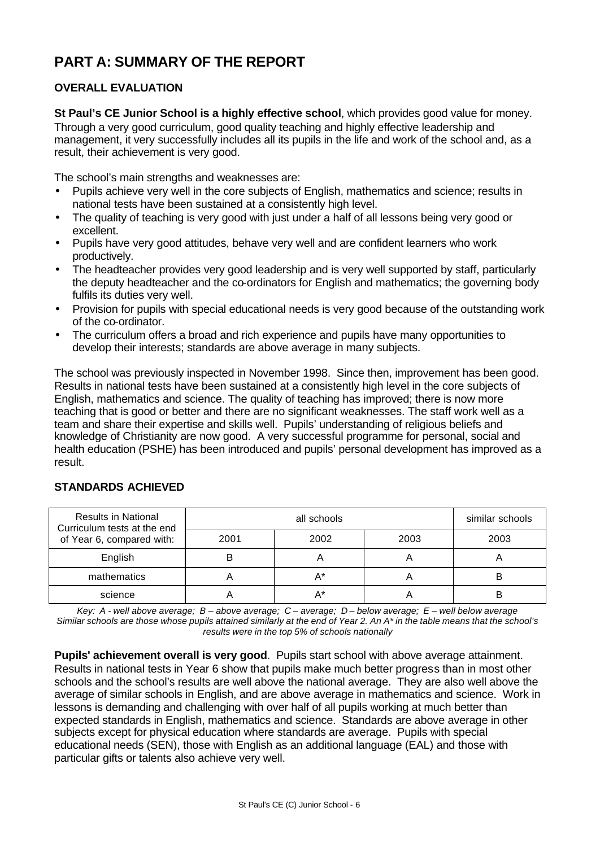# **PART A: SUMMARY OF THE REPORT**

## **OVERALL EVALUATION**

**St Paul's CE Junior School is a highly effective school**, which provides good value for money. Through a very good curriculum, good quality teaching and highly effective leadership and management, it very successfully includes all its pupils in the life and work of the school and, as a result, their achievement is very good.

The school's main strengths and weaknesses are:

- Pupils achieve very well in the core subjects of English, mathematics and science; results in national tests have been sustained at a consistently high level.
- The quality of teaching is very good with just under a half of all lessons being very good or excellent.
- Pupils have very good attitudes, behave very well and are confident learners who work productively.
- The headteacher provides very good leadership and is very well supported by staff, particularly the deputy headteacher and the co-ordinators for English and mathematics; the governing body fulfils its duties very well.
- Provision for pupils with special educational needs is very good because of the outstanding work of the co-ordinator.
- The curriculum offers a broad and rich experience and pupils have many opportunities to develop their interests; standards are above average in many subjects.

The school was previously inspected in November 1998. Since then, improvement has been good. Results in national tests have been sustained at a consistently high level in the core subjects of English, mathematics and science. The quality of teaching has improved; there is now more teaching that is good or better and there are no significant weaknesses. The staff work well as a team and share their expertise and skills well. Pupils' understanding of religious beliefs and knowledge of Christianity are now good. A very successful programme for personal, social and health education (PSHE) has been introduced and pupils' personal development has improved as a result.

| <b>Results in National</b><br>Curriculum tests at the end |      | similar schools |      |      |
|-----------------------------------------------------------|------|-----------------|------|------|
| of Year 6, compared with:                                 | 2001 | 2002            | 2003 | 2003 |
| English                                                   |      |                 |      |      |
| mathematics                                               |      | A*              |      |      |
| science                                                   |      |                 |      |      |

#### **STANDARDS ACHIEVED**

*Key: A - well above average; B – above average; C – average; D – below average; E – well below average Similar schools are those whose pupils attained similarly at the end of Year 2. An A\* in the table means that the school's results were in the top 5% of schools nationally*

**Pupils' achievement overall is very good**. Pupils start school with above average attainment. Results in national tests in Year 6 show that pupils make much better progress than in most other schools and the school's results are well above the national average. They are also well above the average of similar schools in English, and are above average in mathematics and science. Work in lessons is demanding and challenging with over half of all pupils working at much better than expected standards in English, mathematics and science. Standards are above average in other subjects except for physical education where standards are average. Pupils with special educational needs (SEN), those with English as an additional language (EAL) and those with particular gifts or talents also achieve very well.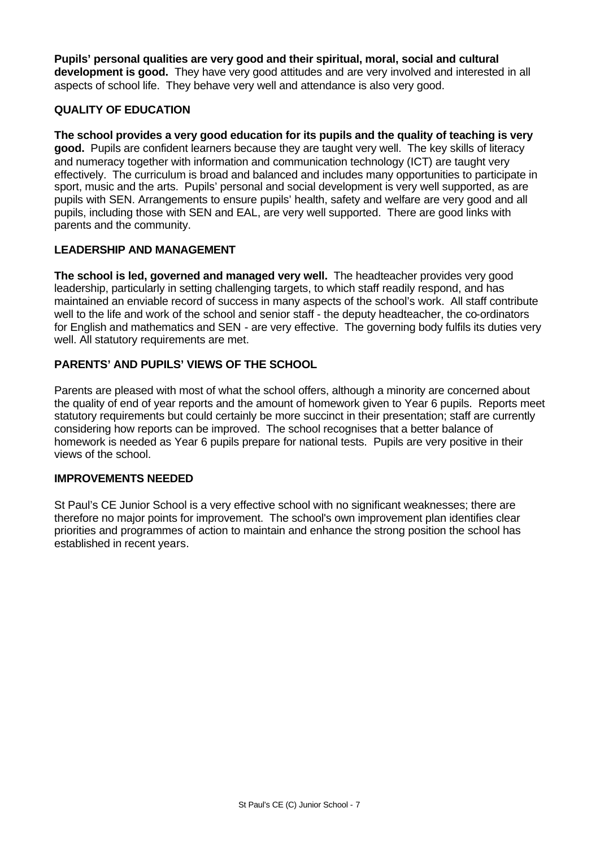**Pupils' personal qualities are very good and their spiritual, moral, social and cultural development is good.** They have very good attitudes and are very involved and interested in all aspects of school life. They behave very well and attendance is also very good.

#### **QUALITY OF EDUCATION**

**The school provides a very good education for its pupils and the quality of teaching is very good.** Pupils are confident learners because they are taught very well. The key skills of literacy and numeracy together with information and communication technology (ICT) are taught very effectively. The curriculum is broad and balanced and includes many opportunities to participate in sport, music and the arts. Pupils' personal and social development is very well supported, as are pupils with SEN. Arrangements to ensure pupils' health, safety and welfare are very good and all pupils, including those with SEN and EAL, are very well supported. There are good links with parents and the community.

#### **LEADERSHIP AND MANAGEMENT**

**The school is led, governed and managed very well.** The headteacher provides very good leadership, particularly in setting challenging targets, to which staff readily respond, and has maintained an enviable record of success in many aspects of the school's work. All staff contribute well to the life and work of the school and senior staff - the deputy headteacher, the co-ordinators for English and mathematics and SEN - are very effective. The governing body fulfils its duties very well. All statutory requirements are met.

## **PARENTS' AND PUPILS' VIEWS OF THE SCHOOL**

Parents are pleased with most of what the school offers, although a minority are concerned about the quality of end of year reports and the amount of homework given to Year 6 pupils. Reports meet statutory requirements but could certainly be more succinct in their presentation; staff are currently considering how reports can be improved. The school recognises that a better balance of homework is needed as Year 6 pupils prepare for national tests. Pupils are very positive in their views of the school.

#### **IMPROVEMENTS NEEDED**

St Paul's CE Junior School is a very effective school with no significant weaknesses; there are therefore no major points for improvement. The school's own improvement plan identifies clear priorities and programmes of action to maintain and enhance the strong position the school has established in recent years.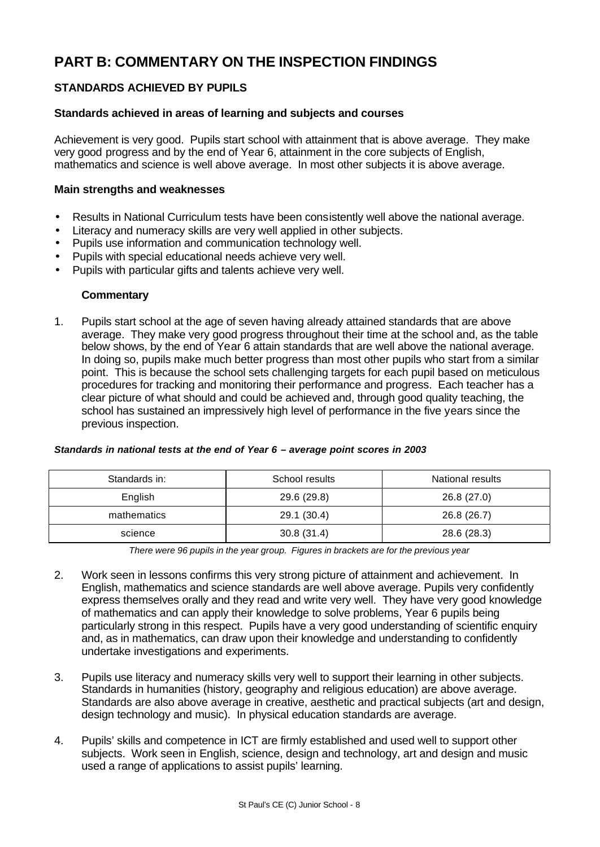# **PART B: COMMENTARY ON THE INSPECTION FINDINGS**

#### **STANDARDS ACHIEVED BY PUPILS**

#### **Standards achieved in areas of learning and subjects and courses**

Achievement is very good. Pupils start school with attainment that is above average. They make very good progress and by the end of Year 6, attainment in the core subjects of English, mathematics and science is well above average. In most other subjects it is above average.

#### **Main strengths and weaknesses**

- Results in National Curriculum tests have been consistently well above the national average.
- Literacy and numeracy skills are very well applied in other subjects.
- Pupils use information and communication technology well.
- Pupils with special educational needs achieve very well.
- Pupils with particular gifts and talents achieve very well.

#### **Commentary**

1. Pupils start school at the age of seven having already attained standards that are above average. They make very good progress throughout their time at the school and, as the table below shows, by the end of Year 6 attain standards that are well above the national average. In doing so, pupils make much better progress than most other pupils who start from a similar point. This is because the school sets challenging targets for each pupil based on meticulous procedures for tracking and monitoring their performance and progress. Each teacher has a clear picture of what should and could be achieved and, through good quality teaching, the school has sustained an impressively high level of performance in the five years since the previous inspection.

| Standards in: | School results | National results |
|---------------|----------------|------------------|
| English       | 29.6 (29.8)    | 26.8 (27.0)      |
| mathematics   | 29.1 (30.4)    | 26.8 (26.7)      |
| science       | 30.8(31.4)     | 28.6 (28.3)      |

#### *Standards in national tests at the end of Year 6 – average point scores in 2003*

*There were 96 pupils in the year group. Figures in brackets are for the previous year*

- 2. Work seen in lessons confirms this very strong picture of attainment and achievement. In English, mathematics and science standards are well above average. Pupils very confidently express themselves orally and they read and write very well. They have very good knowledge of mathematics and can apply their knowledge to solve problems, Year 6 pupils being particularly strong in this respect. Pupils have a very good understanding of scientific enquiry and, as in mathematics, can draw upon their knowledge and understanding to confidently undertake investigations and experiments.
- 3. Pupils use literacy and numeracy skills very well to support their learning in other subjects. Standards in humanities (history, geography and religious education) are above average. Standards are also above average in creative, aesthetic and practical subjects (art and design, design technology and music). In physical education standards are average.
- 4. Pupils' skills and competence in ICT are firmly established and used well to support other subjects. Work seen in English, science, design and technology, art and design and music used a range of applications to assist pupils' learning.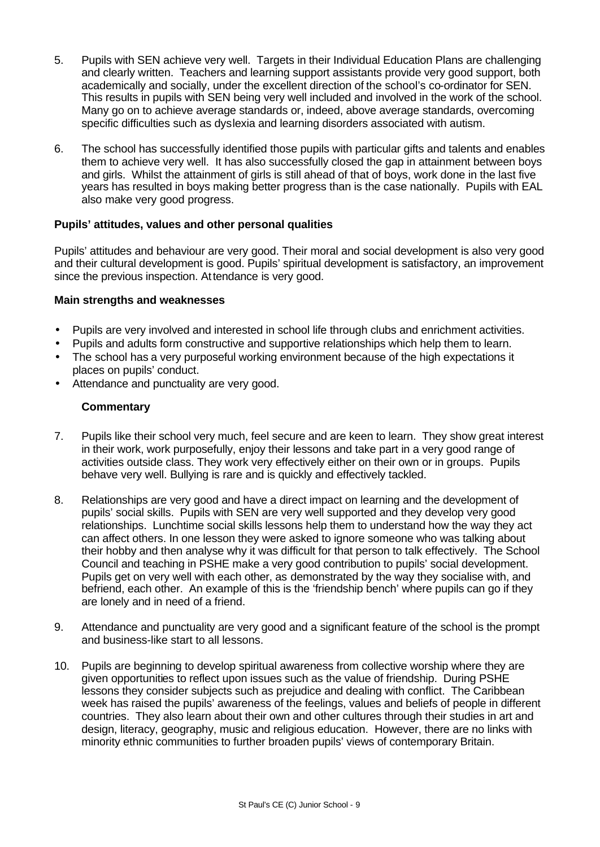- 5. Pupils with SEN achieve very well. Targets in their Individual Education Plans are challenging and clearly written. Teachers and learning support assistants provide very good support, both academically and socially, under the excellent direction of the school's co-ordinator for SEN. This results in pupils with SEN being very well included and involved in the work of the school. Many go on to achieve average standards or, indeed, above average standards, overcoming specific difficulties such as dyslexia and learning disorders associated with autism.
- 6. The school has successfully identified those pupils with particular gifts and talents and enables them to achieve very well. It has also successfully closed the gap in attainment between boys and girls. Whilst the attainment of girls is still ahead of that of boys, work done in the last five years has resulted in boys making better progress than is the case nationally. Pupils with EAL also make very good progress.

#### **Pupils' attitudes, values and other personal qualities**

Pupils' attitudes and behaviour are very good. Their moral and social development is also very good and their cultural development is good. Pupils' spiritual development is satisfactory, an improvement since the previous inspection. Attendance is very good.

## **Main strengths and weaknesses**

- Pupils are very involved and interested in school life through clubs and enrichment activities.
- Pupils and adults form constructive and supportive relationships which help them to learn.
- The school has a very purposeful working environment because of the high expectations it places on pupils' conduct.
- Attendance and punctuality are very good.

- 7. Pupils like their school very much, feel secure and are keen to learn. They show great interest in their work, work purposefully, enjoy their lessons and take part in a very good range of activities outside class. They work very effectively either on their own or in groups. Pupils behave very well. Bullying is rare and is quickly and effectively tackled.
- 8. Relationships are very good and have a direct impact on learning and the development of pupils' social skills. Pupils with SEN are very well supported and they develop very good relationships. Lunchtime social skills lessons help them to understand how the way they act can affect others. In one lesson they were asked to ignore someone who was talking about their hobby and then analyse why it was difficult for that person to talk effectively. The School Council and teaching in PSHE make a very good contribution to pupils' social development. Pupils get on very well with each other, as demonstrated by the way they socialise with, and befriend, each other. An example of this is the 'friendship bench' where pupils can go if they are lonely and in need of a friend.
- 9. Attendance and punctuality are very good and a significant feature of the school is the prompt and business-like start to all lessons.
- 10. Pupils are beginning to develop spiritual awareness from collective worship where they are given opportunities to reflect upon issues such as the value of friendship. During PSHE lessons they consider subjects such as prejudice and dealing with conflict. The Caribbean week has raised the pupils' awareness of the feelings, values and beliefs of people in different countries. They also learn about their own and other cultures through their studies in art and design, literacy, geography, music and religious education. However, there are no links with minority ethnic communities to further broaden pupils' views of contemporary Britain.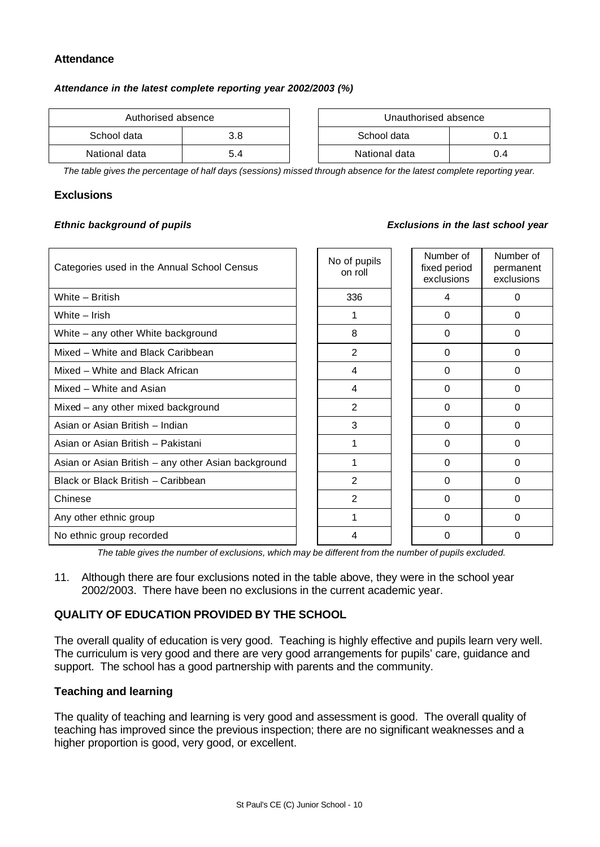#### **Attendance**

#### *Attendance in the latest complete reporting year 2002/2003 (%)*

| Authorised absence |     |  | Unauthorised absence |     |
|--------------------|-----|--|----------------------|-----|
| School data        | 3.8 |  | School data          |     |
| National data      | 5.4 |  | National data        | 0.4 |

| Authorised absence |     | Unauthorised absence |               |     |
|--------------------|-----|----------------------|---------------|-----|
| data               | 3.8 |                      | School data   | 0.1 |
| data               | 5.4 |                      | National data | 0.4 |

*The table gives the percentage of half days (sessions) missed through absence for the latest complete reporting year.*

#### **Exclusions**

#### *Ethnic background of pupils Exclusions in the last school year*

| Categories used in the Annual School Census         | No of pupils<br>on roll | Number of<br>fixed period<br>exclusions | Number of<br>permanent<br>exclusions |
|-----------------------------------------------------|-------------------------|-----------------------------------------|--------------------------------------|
| White - British                                     | 336                     | 4                                       | 0                                    |
| White – Irish                                       | 1                       | $\Omega$                                | $\Omega$                             |
| White – any other White background                  | 8                       | $\Omega$                                | 0                                    |
| Mixed - White and Black Caribbean                   | 2                       | $\Omega$                                | 0                                    |
| Mixed – White and Black African                     | 4                       | $\Omega$                                | $\Omega$                             |
| Mixed - White and Asian                             | 4                       | $\Omega$                                | 0                                    |
| Mixed - any other mixed background                  | $\overline{2}$          | $\Omega$                                | $\Omega$                             |
| Asian or Asian British - Indian                     | 3                       | $\Omega$                                | 0                                    |
| Asian or Asian British - Pakistani                  |                         | $\Omega$                                | 0                                    |
| Asian or Asian British - any other Asian background | 1                       | $\Omega$                                | $\Omega$                             |
| Black or Black British - Caribbean                  | $\mathfrak{p}$          | $\Omega$                                | $\Omega$                             |
| Chinese                                             | 2                       | $\Omega$                                | 0                                    |
| Any other ethnic group                              | 1                       | $\Omega$                                | $\Omega$                             |
| No ethnic group recorded                            | 4                       | $\Omega$                                | O                                    |

*The table gives the number of exclusions, which may be different from the number of pupils excluded.*

11. Although there are four exclusions noted in the table above, they were in the school year 2002/2003. There have been no exclusions in the current academic year.

## **QUALITY OF EDUCATION PROVIDED BY THE SCHOOL**

The overall quality of education is very good. Teaching is highly effective and pupils learn very well. The curriculum is very good and there are very good arrangements for pupils' care, guidance and support. The school has a good partnership with parents and the community.

#### **Teaching and learning**

The quality of teaching and learning is very good and assessment is good. The overall quality of teaching has improved since the previous inspection; there are no significant weaknesses and a higher proportion is good, very good, or excellent.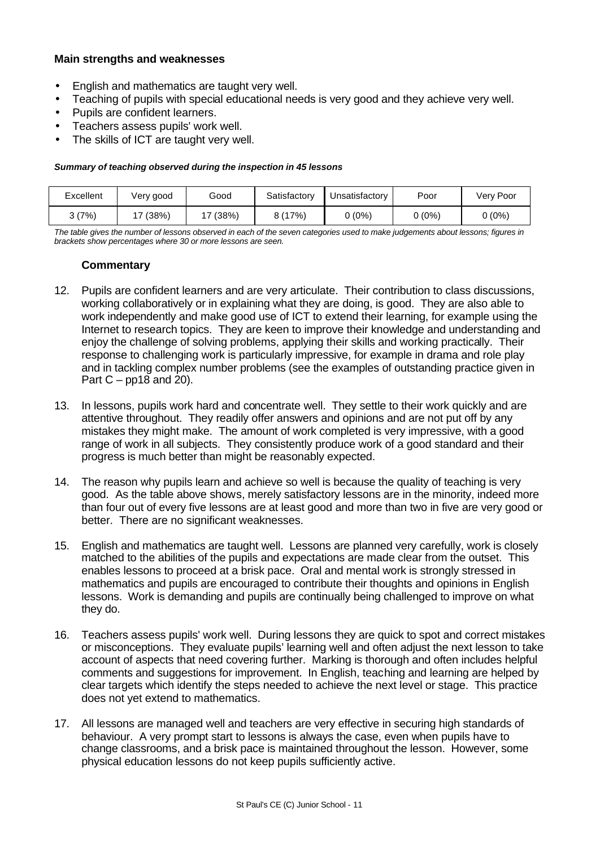#### **Main strengths and weaknesses**

- English and mathematics are taught very well.
- Teaching of pupils with special educational needs is very good and they achieve very well.
- Pupils are confident learners.
- Teachers assess pupils' work well.
- The skills of ICT are taught very well.

#### *Summary of teaching observed during the inspection in 45 lessons*

| Excellent | Very good | Good     | Satisfactory | Unsatisfactorv | Poor     | Very Poor |
|-----------|-----------|----------|--------------|----------------|----------|-----------|
| 3 (7%)    | 17 (38%)  | 17 (38%) | 8 (17%)      | 0 (0%)         | $0(0\%)$ | (0%)      |

*The table gives the number of lessons observed in each of the seven categories used to make judgements about lessons; figures in brackets show percentages where 30 or more lessons are seen.*

- 12. Pupils are confident learners and are very articulate. Their contribution to class discussions, working collaboratively or in explaining what they are doing, is good. They are also able to work independently and make good use of ICT to extend their learning, for example using the Internet to research topics. They are keen to improve their knowledge and understanding and enjoy the challenge of solving problems, applying their skills and working practically. Their response to challenging work is particularly impressive, for example in drama and role play and in tackling complex number problems (see the examples of outstanding practice given in Part  $C - pp18$  and 20).
- 13. In lessons, pupils work hard and concentrate well. They settle to their work quickly and are attentive throughout. They readily offer answers and opinions and are not put off by any mistakes they might make. The amount of work completed is very impressive, with a good range of work in all subjects. They consistently produce work of a good standard and their progress is much better than might be reasonably expected.
- 14. The reason why pupils learn and achieve so well is because the quality of teaching is very good. As the table above shows, merely satisfactory lessons are in the minority, indeed more than four out of every five lessons are at least good and more than two in five are very good or better. There are no significant weaknesses.
- 15. English and mathematics are taught well. Lessons are planned very carefully, work is closely matched to the abilities of the pupils and expectations are made clear from the outset. This enables lessons to proceed at a brisk pace. Oral and mental work is strongly stressed in mathematics and pupils are encouraged to contribute their thoughts and opinions in English lessons. Work is demanding and pupils are continually being challenged to improve on what they do.
- 16. Teachers assess pupils' work well. During lessons they are quick to spot and correct mistakes or misconceptions. They evaluate pupils' learning well and often adjust the next lesson to take account of aspects that need covering further. Marking is thorough and often includes helpful comments and suggestions for improvement. In English, teaching and learning are helped by clear targets which identify the steps needed to achieve the next level or stage. This practice does not yet extend to mathematics.
- 17. All lessons are managed well and teachers are very effective in securing high standards of behaviour. A very prompt start to lessons is always the case, even when pupils have to change classrooms, and a brisk pace is maintained throughout the lesson. However, some physical education lessons do not keep pupils sufficiently active.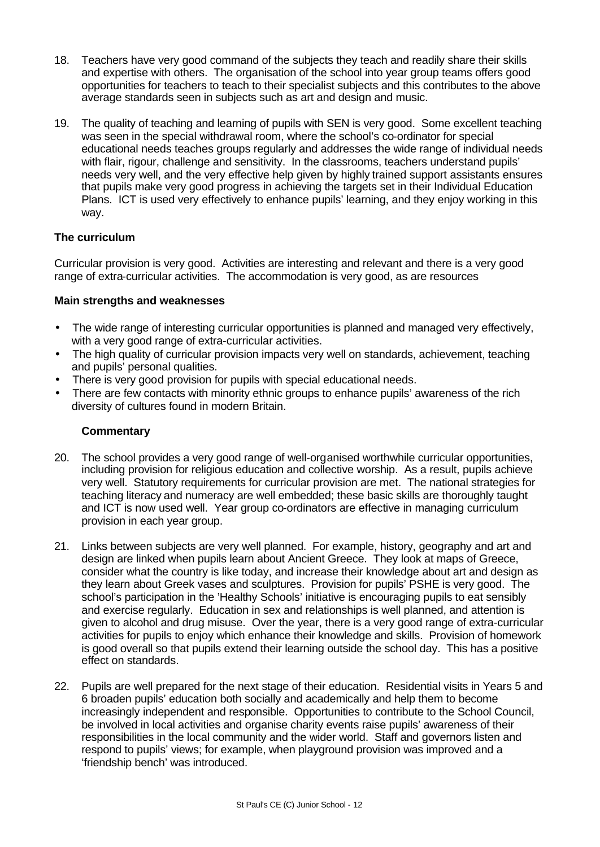- 18. Teachers have very good command of the subjects they teach and readily share their skills and expertise with others. The organisation of the school into year group teams offers good opportunities for teachers to teach to their specialist subjects and this contributes to the above average standards seen in subjects such as art and design and music.
- 19. The quality of teaching and learning of pupils with SEN is very good. Some excellent teaching was seen in the special withdrawal room, where the school's co-ordinator for special educational needs teaches groups regularly and addresses the wide range of individual needs with flair, rigour, challenge and sensitivity. In the classrooms, teachers understand pupils' needs very well, and the very effective help given by highly trained support assistants ensures that pupils make very good progress in achieving the targets set in their Individual Education Plans. ICT is used very effectively to enhance pupils' learning, and they enjoy working in this way.

#### **The curriculum**

Curricular provision is very good. Activities are interesting and relevant and there is a very good range of extra-curricular activities. The accommodation is very good, as are resources

#### **Main strengths and weaknesses**

- The wide range of interesting curricular opportunities is planned and managed very effectively, with a very good range of extra-curricular activities.
- The high quality of curricular provision impacts very well on standards, achievement, teaching and pupils' personal qualities.
- There is very good provision for pupils with special educational needs.
- There are few contacts with minority ethnic groups to enhance pupils' awareness of the rich diversity of cultures found in modern Britain.

- 20. The school provides a very good range of well-organised worthwhile curricular opportunities, including provision for religious education and collective worship. As a result, pupils achieve very well. Statutory requirements for curricular provision are met. The national strategies for teaching literacy and numeracy are well embedded; these basic skills are thoroughly taught and ICT is now used well. Year group co-ordinators are effective in managing curriculum provision in each year group.
- 21. Links between subjects are very well planned. For example, history, geography and art and design are linked when pupils learn about Ancient Greece. They look at maps of Greece, consider what the country is like today, and increase their knowledge about art and design as they learn about Greek vases and sculptures. Provision for pupils' PSHE is very good. The school's participation in the 'Healthy Schools' initiative is encouraging pupils to eat sensibly and exercise regularly. Education in sex and relationships is well planned, and attention is given to alcohol and drug misuse. Over the year, there is a very good range of extra-curricular activities for pupils to enjoy which enhance their knowledge and skills. Provision of homework is good overall so that pupils extend their learning outside the school day. This has a positive effect on standards.
- 22. Pupils are well prepared for the next stage of their education. Residential visits in Years 5 and 6 broaden pupils' education both socially and academically and help them to become increasingly independent and responsible. Opportunities to contribute to the School Council, be involved in local activities and organise charity events raise pupils' awareness of their responsibilities in the local community and the wider world. Staff and governors listen and respond to pupils' views; for example, when playground provision was improved and a 'friendship bench' was introduced.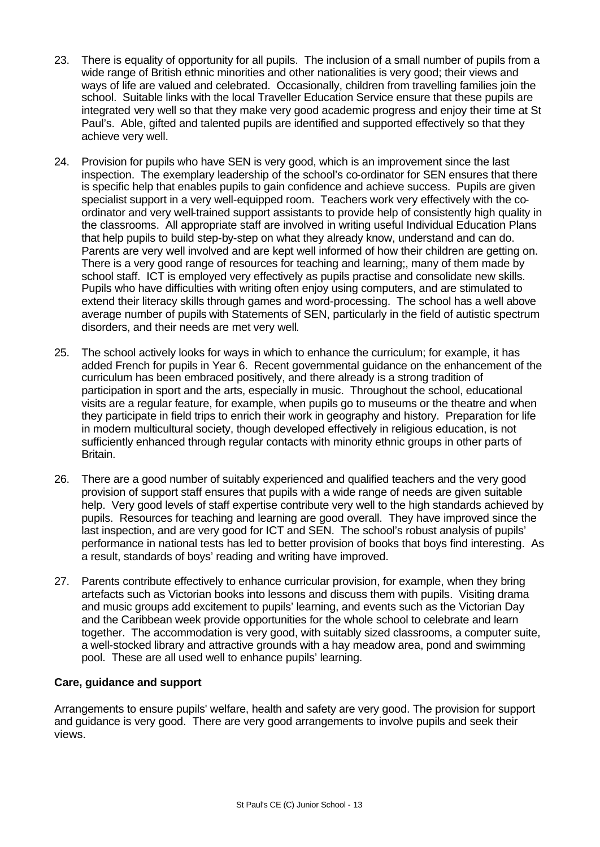- 23. There is equality of opportunity for all pupils. The inclusion of a small number of pupils from a wide range of British ethnic minorities and other nationalities is very good; their views and ways of life are valued and celebrated. Occasionally, children from travelling families join the school. Suitable links with the local Traveller Education Service ensure that these pupils are integrated very well so that they make very good academic progress and enjoy their time at St Paul's. Able, gifted and talented pupils are identified and supported effectively so that they achieve very well.
- 24. Provision for pupils who have SEN is very good, which is an improvement since the last inspection. The exemplary leadership of the school's co-ordinator for SEN ensures that there is specific help that enables pupils to gain confidence and achieve success. Pupils are given specialist support in a very well-equipped room. Teachers work very effectively with the coordinator and very well-trained support assistants to provide help of consistently high quality in the classrooms. All appropriate staff are involved in writing useful Individual Education Plans that help pupils to build step-by-step on what they already know, understand and can do. Parents are very well involved and are kept well informed of how their children are getting on. There is a very good range of resources for teaching and learning;, many of them made by school staff. ICT is employed very effectively as pupils practise and consolidate new skills. Pupils who have difficulties with writing often enjoy using computers, and are stimulated to extend their literacy skills through games and word-processing. The school has a well above average number of pupils with Statements of SEN, particularly in the field of autistic spectrum disorders, and their needs are met very well.
- 25. The school actively looks for ways in which to enhance the curriculum; for example, it has added French for pupils in Year 6. Recent governmental guidance on the enhancement of the curriculum has been embraced positively, and there already is a strong tradition of participation in sport and the arts, especially in music. Throughout the school, educational visits are a regular feature, for example, when pupils go to museums or the theatre and when they participate in field trips to enrich their work in geography and history. Preparation for life in modern multicultural society, though developed effectively in religious education, is not sufficiently enhanced through regular contacts with minority ethnic groups in other parts of Britain.
- 26. There are a good number of suitably experienced and qualified teachers and the very good provision of support staff ensures that pupils with a wide range of needs are given suitable help. Very good levels of staff expertise contribute very well to the high standards achieved by pupils. Resources for teaching and learning are good overall. They have improved since the last inspection, and are very good for ICT and SEN. The school's robust analysis of pupils' performance in national tests has led to better provision of books that boys find interesting. As a result, standards of boys' reading and writing have improved.
- 27. Parents contribute effectively to enhance curricular provision, for example, when they bring artefacts such as Victorian books into lessons and discuss them with pupils. Visiting drama and music groups add excitement to pupils' learning, and events such as the Victorian Day and the Caribbean week provide opportunities for the whole school to celebrate and learn together. The accommodation is very good, with suitably sized classrooms, a computer suite, a well-stocked library and attractive grounds with a hay meadow area, pond and swimming pool. These are all used well to enhance pupils' learning.

#### **Care, guidance and support**

Arrangements to ensure pupils' welfare, health and safety are very good. The provision for support and guidance is very good. There are very good arrangements to involve pupils and seek their views.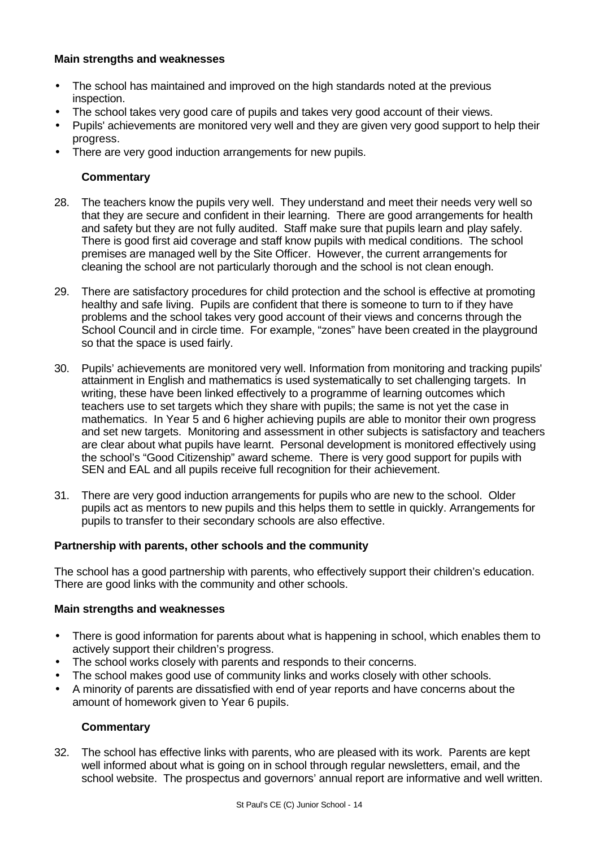#### **Main strengths and weaknesses**

- The school has maintained and improved on the high standards noted at the previous inspection.
- The school takes very good care of pupils and takes very good account of their views.
- Pupils' achievements are monitored very well and they are given very good support to help their progress.
- There are very good induction arrangements for new pupils.

#### **Commentary**

- 28. The teachers know the pupils very well. They understand and meet their needs very well so that they are secure and confident in their learning. There are good arrangements for health and safety but they are not fully audited. Staff make sure that pupils learn and play safely. There is good first aid coverage and staff know pupils with medical conditions. The school premises are managed well by the Site Officer. However, the current arrangements for cleaning the school are not particularly thorough and the school is not clean enough.
- 29. There are satisfactory procedures for child protection and the school is effective at promoting healthy and safe living. Pupils are confident that there is someone to turn to if they have problems and the school takes very good account of their views and concerns through the School Council and in circle time. For example, "zones" have been created in the playground so that the space is used fairly.
- 30. Pupils' achievements are monitored very well. Information from monitoring and tracking pupils' attainment in English and mathematics is used systematically to set challenging targets. In writing, these have been linked effectively to a programme of learning outcomes which teachers use to set targets which they share with pupils; the same is not yet the case in mathematics. In Year 5 and 6 higher achieving pupils are able to monitor their own progress and set new targets. Monitoring and assessment in other subjects is satisfactory and teachers are clear about what pupils have learnt. Personal development is monitored effectively using the school's "Good Citizenship" award scheme. There is very good support for pupils with SEN and EAL and all pupils receive full recognition for their achievement.
- 31. There are very good induction arrangements for pupils who are new to the school. Older pupils act as mentors to new pupils and this helps them to settle in quickly. Arrangements for pupils to transfer to their secondary schools are also effective.

#### **Partnership with parents, other schools and the community**

The school has a good partnership with parents, who effectively support their children's education. There are good links with the community and other schools.

#### **Main strengths and weaknesses**

- There is good information for parents about what is happening in school, which enables them to actively support their children's progress.
- The school works closely with parents and responds to their concerns.
- The school makes good use of community links and works closely with other schools.
- A minority of parents are dissatisfied with end of year reports and have concerns about the amount of homework given to Year 6 pupils.

#### **Commentary**

32. The school has effective links with parents, who are pleased with its work. Parents are kept well informed about what is going on in school through regular newsletters, email, and the school website. The prospectus and governors' annual report are informative and well written.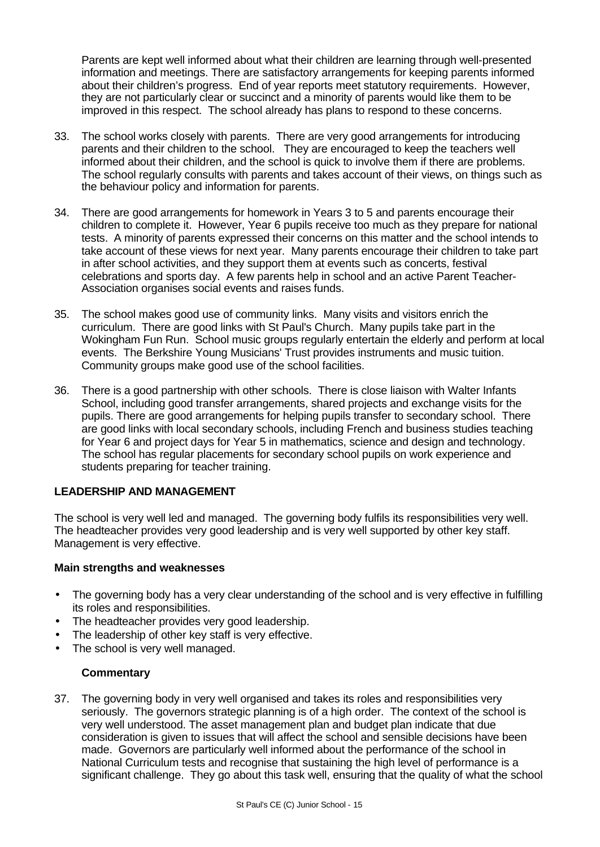Parents are kept well informed about what their children are learning through well-presented information and meetings. There are satisfactory arrangements for keeping parents informed about their children's progress. End of year reports meet statutory requirements. However, they are not particularly clear or succinct and a minority of parents would like them to be improved in this respect. The school already has plans to respond to these concerns.

- 33. The school works closely with parents. There are very good arrangements for introducing parents and their children to the school. They are encouraged to keep the teachers well informed about their children, and the school is quick to involve them if there are problems. The school regularly consults with parents and takes account of their views, on things such as the behaviour policy and information for parents.
- 34. There are good arrangements for homework in Years 3 to 5 and parents encourage their children to complete it. However, Year 6 pupils receive too much as they prepare for national tests. A minority of parents expressed their concerns on this matter and the school intends to take account of these views for next year. Many parents encourage their children to take part in after school activities, and they support them at events such as concerts, festival celebrations and sports day. A few parents help in school and an active Parent Teacher-Association organises social events and raises funds.
- 35. The school makes good use of community links. Many visits and visitors enrich the curriculum. There are good links with St Paul's Church. Many pupils take part in the Wokingham Fun Run. School music groups regularly entertain the elderly and perform at local events. The Berkshire Young Musicians' Trust provides instruments and music tuition. Community groups make good use of the school facilities.
- 36. There is a good partnership with other schools. There is close liaison with Walter Infants School, including good transfer arrangements, shared projects and exchange visits for the pupils. There are good arrangements for helping pupils transfer to secondary school. There are good links with local secondary schools, including French and business studies teaching for Year 6 and project days for Year 5 in mathematics, science and design and technology. The school has regular placements for secondary school pupils on work experience and students preparing for teacher training.

#### **LEADERSHIP AND MANAGEMENT**

The school is very well led and managed. The governing body fulfils its responsibilities very well. The headteacher provides very good leadership and is very well supported by other key staff. Management is very effective.

#### **Main strengths and weaknesses**

- The governing body has a very clear understanding of the school and is very effective in fulfilling its roles and responsibilities.
- The headteacher provides very good leadership.
- The leadership of other key staff is very effective.
- The school is very well managed.

#### **Commentary**

37. The governing body in very well organised and takes its roles and responsibilities very seriously. The governors strategic planning is of a high order. The context of the school is very well understood. The asset management plan and budget plan indicate that due consideration is given to issues that will affect the school and sensible decisions have been made. Governors are particularly well informed about the performance of the school in National Curriculum tests and recognise that sustaining the high level of performance is a significant challenge. They go about this task well, ensuring that the quality of what the school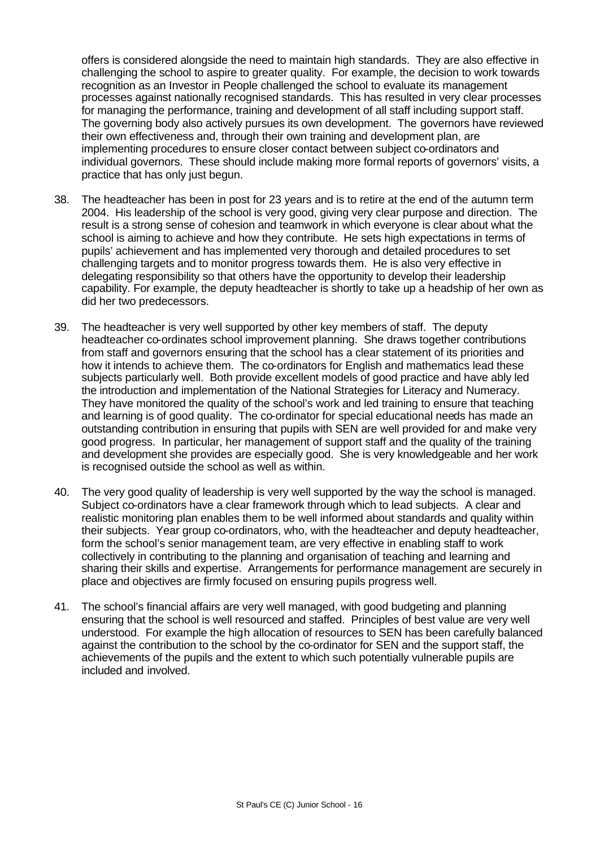offers is considered alongside the need to maintain high standards. They are also effective in challenging the school to aspire to greater quality. For example, the decision to work towards recognition as an Investor in People challenged the school to evaluate its management processes against nationally recognised standards. This has resulted in very clear processes for managing the performance, training and development of all staff including support staff. The governing body also actively pursues its own development. The governors have reviewed their own effectiveness and, through their own training and development plan, are implementing procedures to ensure closer contact between subject co-ordinators and individual governors. These should include making more formal reports of governors' visits, a practice that has only just begun.

- 38. The headteacher has been in post for 23 years and is to retire at the end of the autumn term 2004. His leadership of the school is very good, giving very clear purpose and direction. The result is a strong sense of cohesion and teamwork in which everyone is clear about what the school is aiming to achieve and how they contribute. He sets high expectations in terms of pupils' achievement and has implemented very thorough and detailed procedures to set challenging targets and to monitor progress towards them. He is also very effective in delegating responsibility so that others have the opportunity to develop their leadership capability. For example, the deputy headteacher is shortly to take up a headship of her own as did her two predecessors.
- 39. The headteacher is very well supported by other key members of staff. The deputy headteacher co-ordinates school improvement planning. She draws together contributions from staff and governors ensuring that the school has a clear statement of its priorities and how it intends to achieve them. The co-ordinators for English and mathematics lead these subjects particularly well. Both provide excellent models of good practice and have ably led the introduction and implementation of the National Strategies for Literacy and Numeracy. They have monitored the quality of the school's work and led training to ensure that teaching and learning is of good quality. The co-ordinator for special educational needs has made an outstanding contribution in ensuring that pupils with SEN are well provided for and make very good progress. In particular, her management of support staff and the quality of the training and development she provides are especially good. She is very knowledgeable and her work is recognised outside the school as well as within.
- 40. The very good quality of leadership is very well supported by the way the school is managed. Subject co-ordinators have a clear framework through which to lead subjects. A clear and realistic monitoring plan enables them to be well informed about standards and quality within their subjects. Year group co-ordinators, who, with the headteacher and deputy headteacher, form the school's senior management team, are very effective in enabling staff to work collectively in contributing to the planning and organisation of teaching and learning and sharing their skills and expertise. Arrangements for performance management are securely in place and objectives are firmly focused on ensuring pupils progress well.
- 41. The school's financial affairs are very well managed, with good budgeting and planning ensuring that the school is well resourced and staffed. Principles of best value are very well understood. For example the high allocation of resources to SEN has been carefully balanced against the contribution to the school by the co-ordinator for SEN and the support staff, the achievements of the pupils and the extent to which such potentially vulnerable pupils are included and involved.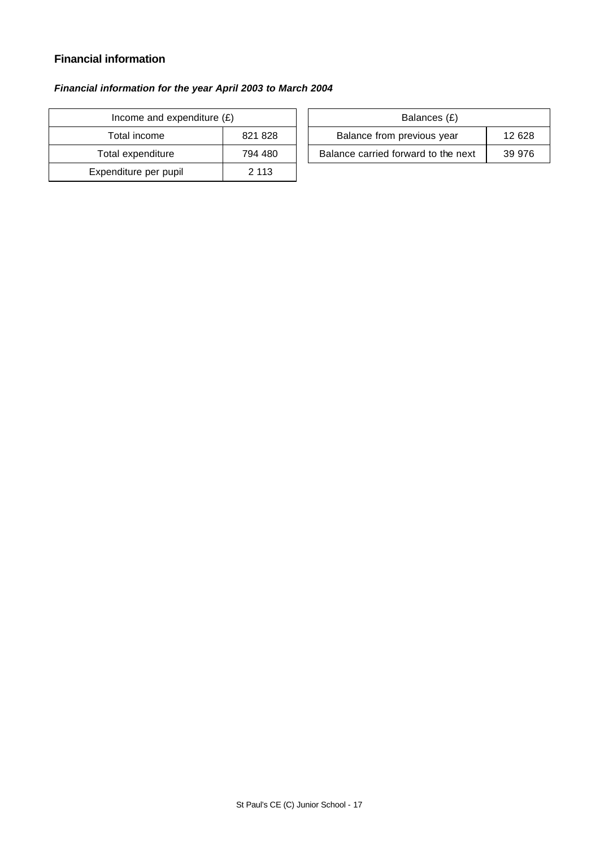# **Financial information**

# *Financial information for the year April 2003 to March 2004*

| Income and expenditure $(E)$ |         |  | Balances (£)                   |
|------------------------------|---------|--|--------------------------------|
| Total income<br>821 828      |         |  | Balance from previous year     |
| Total expenditure            | 794 480 |  | Balance carried forward to the |
| Expenditure per pupil        | 2 1 1 3 |  |                                |

| Income and expenditure $(E)$ |         | Balances (£)                        |        |
|------------------------------|---------|-------------------------------------|--------|
| Total income                 | 821 828 | Balance from previous year          | 12 628 |
| Total expenditure            | 794 480 | Balance carried forward to the next | 39 976 |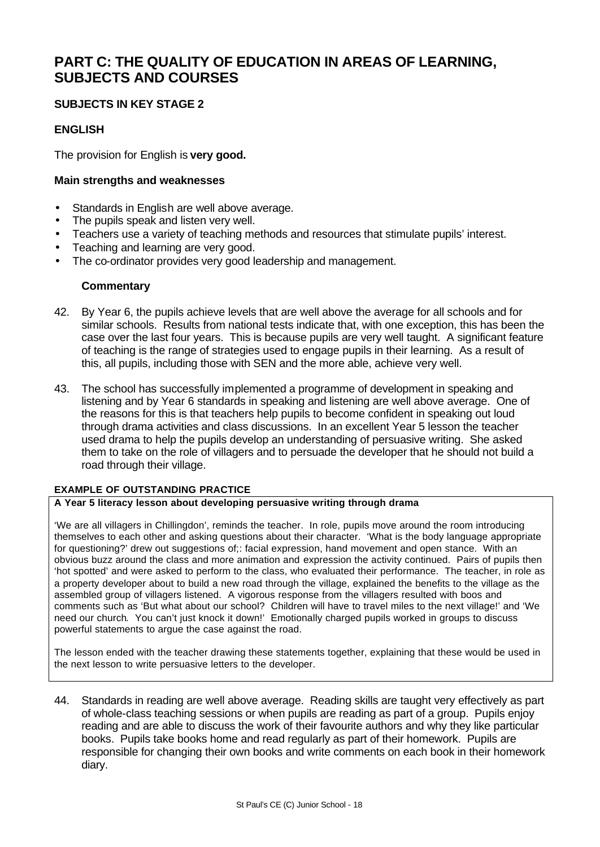# **PART C: THE QUALITY OF EDUCATION IN AREAS OF LEARNING, SUBJECTS AND COURSES**

#### **SUBJECTS IN KEY STAGE 2**

#### **ENGLISH**

The provision for English is **very good.**

#### **Main strengths and weaknesses**

- Standards in English are well above average.
- The pupils speak and listen very well.
- Teachers use a variety of teaching methods and resources that stimulate pupils' interest.
- Teaching and learning are very good.
- The co-ordinator provides very good leadership and management.

#### **Commentary**

- 42. By Year 6, the pupils achieve levels that are well above the average for all schools and for similar schools. Results from national tests indicate that, with one exception, this has been the case over the last four years. This is because pupils are very well taught. A significant feature of teaching is the range of strategies used to engage pupils in their learning. As a result of this, all pupils, including those with SEN and the more able, achieve very well.
- 43. The school has successfully implemented a programme of development in speaking and listening and by Year 6 standards in speaking and listening are well above average. One of the reasons for this is that teachers help pupils to become confident in speaking out loud through drama activities and class discussions. In an excellent Year 5 lesson the teacher used drama to help the pupils develop an understanding of persuasive writing. She asked them to take on the role of villagers and to persuade the developer that he should not build a road through their village.

#### **EXAMPLE OF OUTSTANDING PRACTICE**

#### **A Year 5 literacy lesson about developing persuasive writing through drama**

'We are all villagers in Chillingdon', reminds the teacher. In role, pupils move around the room introducing themselves to each other and asking questions about their character. 'What is the body language appropriate for questioning?' drew out suggestions of;: facial expression, hand movement and open stance. With an obvious buzz around the class and more animation and expression the activity continued. Pairs of pupils then 'hot spotted' and were asked to perform to the class, who evaluated their performance. The teacher, in role as a property developer about to build a new road through the village, explained the benefits to the village as the assembled group of villagers listened. A vigorous response from the villagers resulted with boos and comments such as 'But what about our school? Children will have to travel miles to the next village!' and 'We need our church. You can't just knock it down!' Emotionally charged pupils worked in groups to discuss powerful statements to argue the case against the road.

The lesson ended with the teacher drawing these statements together, explaining that these would be used in the next lesson to write persuasive letters to the developer.

44. Standards in reading are well above average. Reading skills are taught very effectively as part of whole-class teaching sessions or when pupils are reading as part of a group. Pupils enjoy reading and are able to discuss the work of their favourite authors and why they like particular books. Pupils take books home and read regularly as part of their homework. Pupils are responsible for changing their own books and write comments on each book in their homework diary.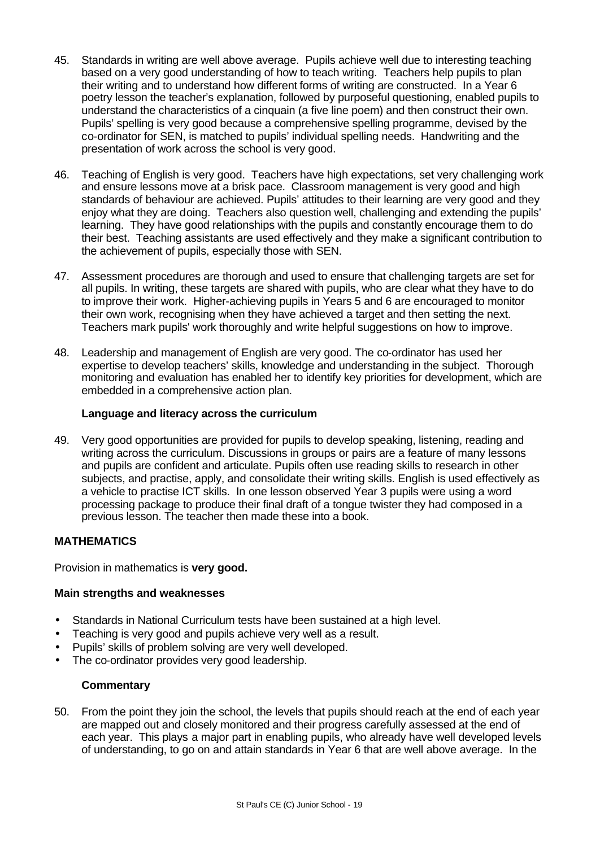- 45. Standards in writing are well above average. Pupils achieve well due to interesting teaching based on a very good understanding of how to teach writing. Teachers help pupils to plan their writing and to understand how different forms of writing are constructed. In a Year 6 poetry lesson the teacher's explanation, followed by purposeful questioning, enabled pupils to understand the characteristics of a cinquain (a five line poem) and then construct their own. Pupils' spelling is very good because a comprehensive spelling programme, devised by the co-ordinator for SEN, is matched to pupils' individual spelling needs. Handwriting and the presentation of work across the school is very good.
- 46. Teaching of English is very good. Teachers have high expectations, set very challenging work and ensure lessons move at a brisk pace. Classroom management is very good and high standards of behaviour are achieved. Pupils' attitudes to their learning are very good and they enjoy what they are doing. Teachers also question well, challenging and extending the pupils' learning. They have good relationships with the pupils and constantly encourage them to do their best. Teaching assistants are used effectively and they make a significant contribution to the achievement of pupils, especially those with SEN.
- 47. Assessment procedures are thorough and used to ensure that challenging targets are set for all pupils. In writing, these targets are shared with pupils, who are clear what they have to do to improve their work. Higher-achieving pupils in Years 5 and 6 are encouraged to monitor their own work, recognising when they have achieved a target and then setting the next. Teachers mark pupils' work thoroughly and write helpful suggestions on how to improve.
- 48. Leadership and management of English are very good. The co-ordinator has used her expertise to develop teachers' skills, knowledge and understanding in the subject. Thorough monitoring and evaluation has enabled her to identify key priorities for development, which are embedded in a comprehensive action plan.

#### **Language and literacy across the curriculum**

49. Very good opportunities are provided for pupils to develop speaking, listening, reading and writing across the curriculum. Discussions in groups or pairs are a feature of many lessons and pupils are confident and articulate. Pupils often use reading skills to research in other subjects, and practise, apply, and consolidate their writing skills. English is used effectively as a vehicle to practise ICT skills. In one lesson observed Year 3 pupils were using a word processing package to produce their final draft of a tongue twister they had composed in a previous lesson. The teacher then made these into a book.

#### **MATHEMATICS**

Provision in mathematics is **very good.**

#### **Main strengths and weaknesses**

- Standards in National Curriculum tests have been sustained at a high level.
- Teaching is very good and pupils achieve very well as a result.
- Pupils' skills of problem solving are very well developed.
- The co-ordinator provides very good leadership.

#### **Commentary**

50. From the point they join the school, the levels that pupils should reach at the end of each year are mapped out and closely monitored and their progress carefully assessed at the end of each year. This plays a major part in enabling pupils, who already have well developed levels of understanding, to go on and attain standards in Year 6 that are well above average. In the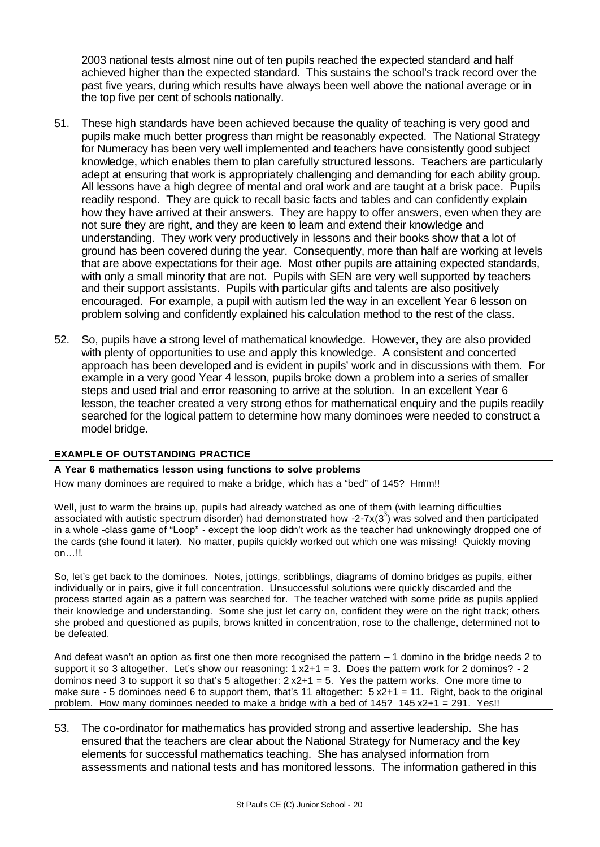2003 national tests almost nine out of ten pupils reached the expected standard and half achieved higher than the expected standard. This sustains the school's track record over the past five years, during which results have always been well above the national average or in the top five per cent of schools nationally.

- 51. These high standards have been achieved because the quality of teaching is very good and pupils make much better progress than might be reasonably expected. The National Strategy for Numeracy has been very well implemented and teachers have consistently good subject knowledge, which enables them to plan carefully structured lessons. Teachers are particularly adept at ensuring that work is appropriately challenging and demanding for each ability group. All lessons have a high degree of mental and oral work and are taught at a brisk pace. Pupils readily respond. They are quick to recall basic facts and tables and can confidently explain how they have arrived at their answers. They are happy to offer answers, even when they are not sure they are right, and they are keen to learn and extend their knowledge and understanding. They work very productively in lessons and their books show that a lot of ground has been covered during the year. Consequently, more than half are working at levels that are above expectations for their age. Most other pupils are attaining expected standards, with only a small minority that are not. Pupils with SEN are very well supported by teachers and their support assistants. Pupils with particular gifts and talents are also positively encouraged. For example, a pupil with autism led the way in an excellent Year 6 lesson on problem solving and confidently explained his calculation method to the rest of the class.
- 52. So, pupils have a strong level of mathematical knowledge. However, they are also provided with plenty of opportunities to use and apply this knowledge. A consistent and concerted approach has been developed and is evident in pupils' work and in discussions with them. For example in a very good Year 4 lesson, pupils broke down a problem into a series of smaller steps and used trial and error reasoning to arrive at the solution. In an excellent Year 6 lesson, the teacher created a very strong ethos for mathematical enquiry and the pupils readily searched for the logical pattern to determine how many dominoes were needed to construct a model bridge.

#### **EXAMPLE OF OUTSTANDING PRACTICE**

#### **A Year 6 mathematics lesson using functions to solve problems**

How many dominoes are required to make a bridge, which has a "bed" of 145? Hmm!!

Well, just to warm the brains up, pupils had already watched as one of them (with learning difficulties associated with autistic spectrum disorder) had demonstrated how -2-7x(3<sup>3</sup>) was solved and then participated in a whole -class game of "Loop" - except the loop didn't work as the teacher had unknowingly dropped one of the cards (she found it later). No matter, pupils quickly worked out which one was missing! Quickly moving on…!!.

So, let's get back to the dominoes. Notes, jottings, scribblings, diagrams of domino bridges as pupils, either individually or in pairs, give it full concentration. Unsuccessful solutions were quickly discarded and the process started again as a pattern was searched for. The teacher watched with some pride as pupils applied their knowledge and understanding. Some she just let carry on, confident they were on the right track; others she probed and questioned as pupils, brows knitted in concentration, rose to the challenge, determined not to be defeated.

And defeat wasn't an option as first one then more recognised the pattern – 1 domino in the bridge needs 2 to support it so 3 altogether. Let's show our reasoning:  $1 \times 2 + 1 = 3$ . Does the pattern work for 2 dominos? - 2 dominos need 3 to support it so that's 5 altogether:  $2 \times 2 + 1 = 5$ . Yes the pattern works. One more time to make sure - 5 dominoes need 6 to support them, that's 11 altogether: 5 x2+1 = 11. Right, back to the original problem. How many dominoes needed to make a bridge with a bed of 145? 145 x2+1 = 291. Yes!!

53. The co-ordinator for mathematics has provided strong and assertive leadership. She has ensured that the teachers are clear about the National Strategy for Numeracy and the key elements for successful mathematics teaching. She has analysed information from assessments and national tests and has monitored lessons. The information gathered in this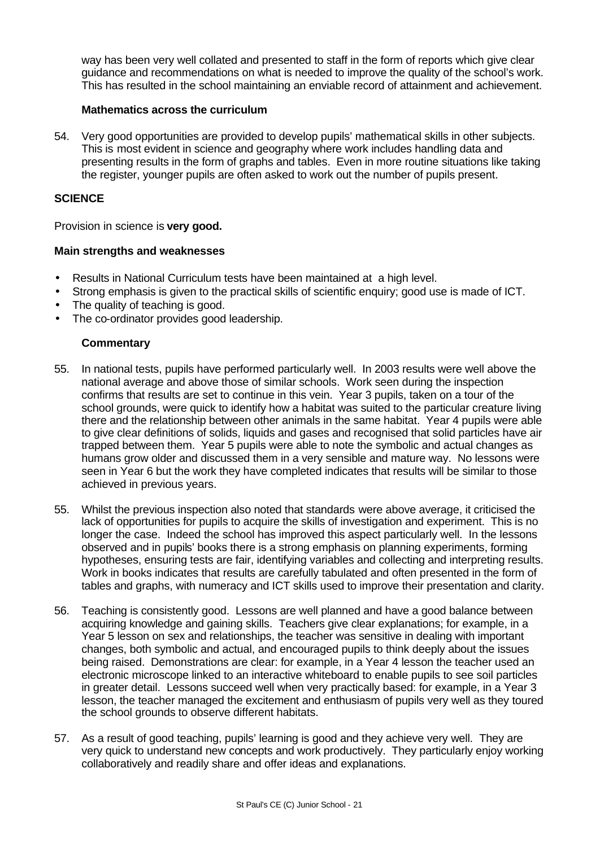way has been very well collated and presented to staff in the form of reports which give clear guidance and recommendations on what is needed to improve the quality of the school's work. This has resulted in the school maintaining an enviable record of attainment and achievement.

#### **Mathematics across the curriculum**

54. Very good opportunities are provided to develop pupils' mathematical skills in other subjects. This is most evident in science and geography where work includes handling data and presenting results in the form of graphs and tables. Even in more routine situations like taking the register, younger pupils are often asked to work out the number of pupils present.

#### **SCIENCE**

Provision in science is **very good.**

#### **Main strengths and weaknesses**

- Results in National Curriculum tests have been maintained at a high level.
- Strong emphasis is given to the practical skills of scientific enquiry; good use is made of ICT.
- The quality of teaching is good.
- The co-ordinator provides good leadership.

- 55. In national tests, pupils have performed particularly well. In 2003 results were well above the national average and above those of similar schools. Work seen during the inspection confirms that results are set to continue in this vein. Year 3 pupils, taken on a tour of the school grounds, were quick to identify how a habitat was suited to the particular creature living there and the relationship between other animals in the same habitat. Year 4 pupils were able to give clear definitions of solids, liquids and gases and recognised that solid particles have air trapped between them. Year 5 pupils were able to note the symbolic and actual changes as humans grow older and discussed them in a very sensible and mature way. No lessons were seen in Year 6 but the work they have completed indicates that results will be similar to those achieved in previous years.
- 55. Whilst the previous inspection also noted that standards were above average, it criticised the lack of opportunities for pupils to acquire the skills of investigation and experiment. This is no longer the case. Indeed the school has improved this aspect particularly well. In the lessons observed and in pupils' books there is a strong emphasis on planning experiments, forming hypotheses, ensuring tests are fair, identifying variables and collecting and interpreting results. Work in books indicates that results are carefully tabulated and often presented in the form of tables and graphs, with numeracy and ICT skills used to improve their presentation and clarity.
- 56. Teaching is consistently good. Lessons are well planned and have a good balance between acquiring knowledge and gaining skills. Teachers give clear explanations; for example, in a Year 5 lesson on sex and relationships, the teacher was sensitive in dealing with important changes, both symbolic and actual, and encouraged pupils to think deeply about the issues being raised. Demonstrations are clear: for example, in a Year 4 lesson the teacher used an electronic microscope linked to an interactive whiteboard to enable pupils to see soil particles in greater detail. Lessons succeed well when very practically based: for example, in a Year 3 lesson, the teacher managed the excitement and enthusiasm of pupils very well as they toured the school grounds to observe different habitats.
- 57. As a result of good teaching, pupils' learning is good and they achieve very well. They are very quick to understand new concepts and work productively. They particularly enjoy working collaboratively and readily share and offer ideas and explanations.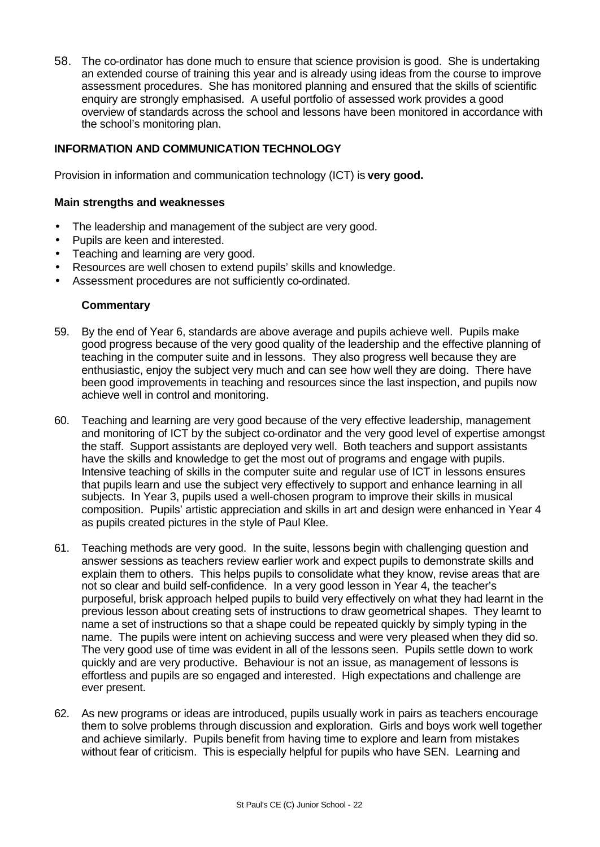58. The co-ordinator has done much to ensure that science provision is good. She is undertaking an extended course of training this year and is already using ideas from the course to improve assessment procedures. She has monitored planning and ensured that the skills of scientific enquiry are strongly emphasised. A useful portfolio of assessed work provides a good overview of standards across the school and lessons have been monitored in accordance with the school's monitoring plan.

#### **INFORMATION AND COMMUNICATION TECHNOLOGY**

Provision in information and communication technology (ICT) is **very good.**

#### **Main strengths and weaknesses**

- The leadership and management of the subject are very good.
- Pupils are keen and interested.
- Teaching and learning are very good.
- Resources are well chosen to extend pupils' skills and knowledge.
- Assessment procedures are not sufficiently co-ordinated.

- 59. By the end of Year 6, standards are above average and pupils achieve well. Pupils make good progress because of the very good quality of the leadership and the effective planning of teaching in the computer suite and in lessons. They also progress well because they are enthusiastic, enjoy the subject very much and can see how well they are doing. There have been good improvements in teaching and resources since the last inspection, and pupils now achieve well in control and monitoring.
- 60. Teaching and learning are very good because of the very effective leadership, management and monitoring of ICT by the subject co-ordinator and the very good level of expertise amongst the staff. Support assistants are deployed very well. Both teachers and support assistants have the skills and knowledge to get the most out of programs and engage with pupils. Intensive teaching of skills in the computer suite and regular use of ICT in lessons ensures that pupils learn and use the subject very effectively to support and enhance learning in all subjects. In Year 3, pupils used a well-chosen program to improve their skills in musical composition. Pupils' artistic appreciation and skills in art and design were enhanced in Year 4 as pupils created pictures in the style of Paul Klee.
- 61. Teaching methods are very good. In the suite, lessons begin with challenging question and answer sessions as teachers review earlier work and expect pupils to demonstrate skills and explain them to others. This helps pupils to consolidate what they know, revise areas that are not so clear and build self-confidence. In a very good lesson in Year 4, the teacher's purposeful, brisk approach helped pupils to build very effectively on what they had learnt in the previous lesson about creating sets of instructions to draw geometrical shapes. They learnt to name a set of instructions so that a shape could be repeated quickly by simply typing in the name. The pupils were intent on achieving success and were very pleased when they did so. The very good use of time was evident in all of the lessons seen. Pupils settle down to work quickly and are very productive. Behaviour is not an issue, as management of lessons is effortless and pupils are so engaged and interested. High expectations and challenge are ever present.
- 62. As new programs or ideas are introduced, pupils usually work in pairs as teachers encourage them to solve problems through discussion and exploration. Girls and boys work well together and achieve similarly. Pupils benefit from having time to explore and learn from mistakes without fear of criticism. This is especially helpful for pupils who have SEN. Learning and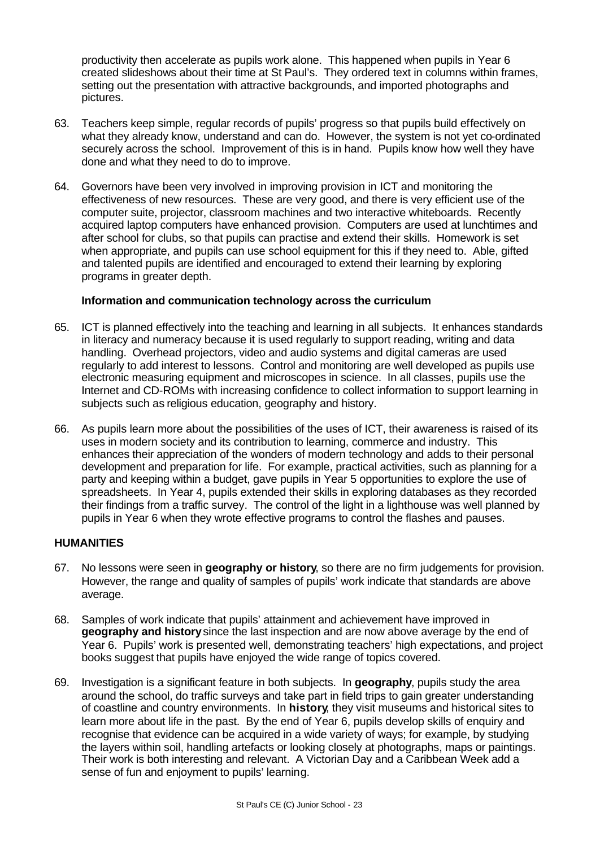productivity then accelerate as pupils work alone. This happened when pupils in Year 6 created slideshows about their time at St Paul's. They ordered text in columns within frames, setting out the presentation with attractive backgrounds, and imported photographs and pictures.

- 63. Teachers keep simple, regular records of pupils' progress so that pupils build effectively on what they already know, understand and can do. However, the system is not yet co-ordinated securely across the school. Improvement of this is in hand. Pupils know how well they have done and what they need to do to improve.
- 64. Governors have been very involved in improving provision in ICT and monitoring the effectiveness of new resources. These are very good, and there is very efficient use of the computer suite, projector, classroom machines and two interactive whiteboards. Recently acquired laptop computers have enhanced provision. Computers are used at lunchtimes and after school for clubs, so that pupils can practise and extend their skills. Homework is set when appropriate, and pupils can use school equipment for this if they need to. Able, gifted and talented pupils are identified and encouraged to extend their learning by exploring programs in greater depth.

#### **Information and communication technology across the curriculum**

- 65. ICT is planned effectively into the teaching and learning in all subjects. It enhances standards in literacy and numeracy because it is used regularly to support reading, writing and data handling. Overhead projectors, video and audio systems and digital cameras are used regularly to add interest to lessons. Control and monitoring are well developed as pupils use electronic measuring equipment and microscopes in science. In all classes, pupils use the Internet and CD-ROMs with increasing confidence to collect information to support learning in subjects such as religious education, geography and history.
- 66. As pupils learn more about the possibilities of the uses of ICT, their awareness is raised of its uses in modern society and its contribution to learning, commerce and industry. This enhances their appreciation of the wonders of modern technology and adds to their personal development and preparation for life. For example, practical activities, such as planning for a party and keeping within a budget, gave pupils in Year 5 opportunities to explore the use of spreadsheets. In Year 4, pupils extended their skills in exploring databases as they recorded their findings from a traffic survey. The control of the light in a lighthouse was well planned by pupils in Year 6 when they wrote effective programs to control the flashes and pauses.

#### **HUMANITIES**

- 67. No lessons were seen in **geography or history**, so there are no firm judgements for provision. However, the range and quality of samples of pupils' work indicate that standards are above average.
- 68. Samples of work indicate that pupils' attainment and achievement have improved in **geography and history** since the last inspection and are now above average by the end of Year 6. Pupils' work is presented well, demonstrating teachers' high expectations, and project books suggest that pupils have enjoyed the wide range of topics covered.
- 69. Investigation is a significant feature in both subjects. In **geography**, pupils study the area around the school, do traffic surveys and take part in field trips to gain greater understanding of coastline and country environments. In **history**, they visit museums and historical sites to learn more about life in the past. By the end of Year 6, pupils develop skills of enquiry and recognise that evidence can be acquired in a wide variety of ways; for example, by studying the layers within soil, handling artefacts or looking closely at photographs, maps or paintings. Their work is both interesting and relevant. A Victorian Day and a Caribbean Week add a sense of fun and enjoyment to pupils' learning.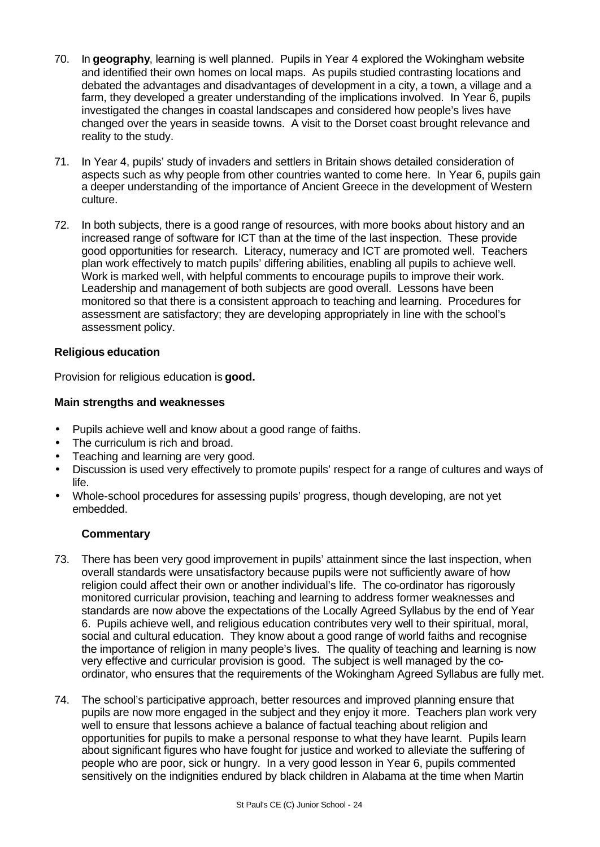- 70. In **geography**, learning is well planned. Pupils in Year 4 explored the Wokingham website and identified their own homes on local maps. As pupils studied contrasting locations and debated the advantages and disadvantages of development in a city, a town, a village and a farm, they developed a greater understanding of the implications involved. In Year 6, pupils investigated the changes in coastal landscapes and considered how people's lives have changed over the years in seaside towns. A visit to the Dorset coast brought relevance and reality to the study.
- 71. In Year 4, pupils' study of invaders and settlers in Britain shows detailed consideration of aspects such as why people from other countries wanted to come here. In Year 6, pupils gain a deeper understanding of the importance of Ancient Greece in the development of Western culture.
- 72. In both subjects, there is a good range of resources, with more books about history and an increased range of software for ICT than at the time of the last inspection. These provide good opportunities for research. Literacy, numeracy and ICT are promoted well. Teachers plan work effectively to match pupils' differing abilities, enabling all pupils to achieve well. Work is marked well, with helpful comments to encourage pupils to improve their work. Leadership and management of both subjects are good overall. Lessons have been monitored so that there is a consistent approach to teaching and learning. Procedures for assessment are satisfactory; they are developing appropriately in line with the school's assessment policy.

#### **Religious education**

Provision for religious education is **good.**

#### **Main strengths and weaknesses**

- Pupils achieve well and know about a good range of faiths.
- The curriculum is rich and broad.
- Teaching and learning are very good.
- Discussion is used very effectively to promote pupils' respect for a range of cultures and ways of life.
- Whole-school procedures for assessing pupils' progress, though developing, are not yet embedded.

- 73. There has been very good improvement in pupils' attainment since the last inspection, when overall standards were unsatisfactory because pupils were not sufficiently aware of how religion could affect their own or another individual's life. The co-ordinator has rigorously monitored curricular provision, teaching and learning to address former weaknesses and standards are now above the expectations of the Locally Agreed Syllabus by the end of Year 6. Pupils achieve well, and religious education contributes very well to their spiritual, moral, social and cultural education. They know about a good range of world faiths and recognise the importance of religion in many people's lives. The quality of teaching and learning is now very effective and curricular provision is good. The subject is well managed by the coordinator, who ensures that the requirements of the Wokingham Agreed Syllabus are fully met.
- 74. The school's participative approach, better resources and improved planning ensure that pupils are now more engaged in the subject and they enjoy it more. Teachers plan work very well to ensure that lessons achieve a balance of factual teaching about religion and opportunities for pupils to make a personal response to what they have learnt. Pupils learn about significant figures who have fought for justice and worked to alleviate the suffering of people who are poor, sick or hungry. In a very good lesson in Year 6, pupils commented sensitively on the indignities endured by black children in Alabama at the time when Martin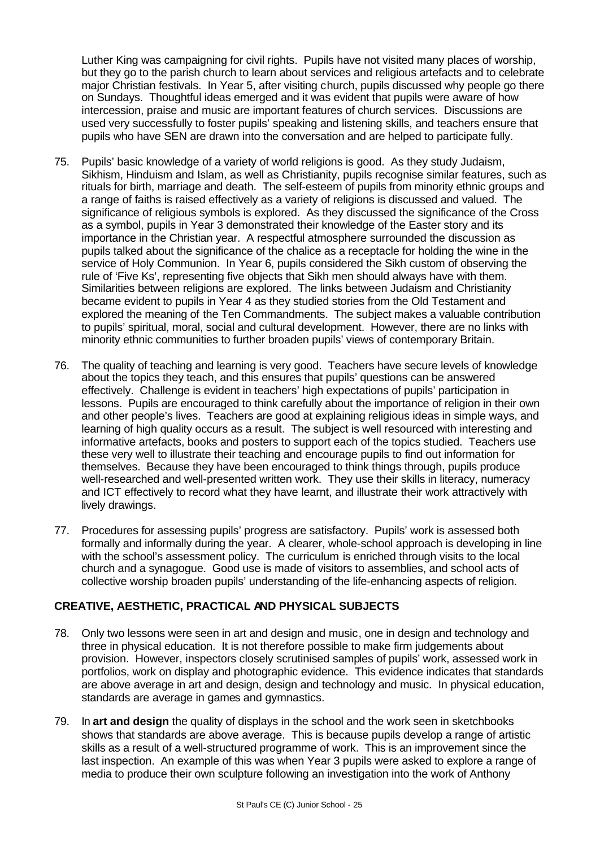Luther King was campaigning for civil rights. Pupils have not visited many places of worship, but they go to the parish church to learn about services and religious artefacts and to celebrate major Christian festivals. In Year 5, after visiting church, pupils discussed why people go there on Sundays. Thoughtful ideas emerged and it was evident that pupils were aware of how intercession, praise and music are important features of church services. Discussions are used very successfully to foster pupils' speaking and listening skills, and teachers ensure that pupils who have SEN are drawn into the conversation and are helped to participate fully.

- 75. Pupils' basic knowledge of a variety of world religions is good. As they study Judaism, Sikhism, Hinduism and Islam, as well as Christianity, pupils recognise similar features, such as rituals for birth, marriage and death. The self-esteem of pupils from minority ethnic groups and a range of faiths is raised effectively as a variety of religions is discussed and valued. The significance of religious symbols is explored. As they discussed the significance of the Cross as a symbol, pupils in Year 3 demonstrated their knowledge of the Easter story and its importance in the Christian year. A respectful atmosphere surrounded the discussion as pupils talked about the significance of the chalice as a receptacle for holding the wine in the service of Holy Communion. In Year 6, pupils considered the Sikh custom of observing the rule of 'Five Ks', representing five objects that Sikh men should always have with them. Similarities between religions are explored. The links between Judaism and Christianity became evident to pupils in Year 4 as they studied stories from the Old Testament and explored the meaning of the Ten Commandments. The subject makes a valuable contribution to pupils' spiritual, moral, social and cultural development. However, there are no links with minority ethnic communities to further broaden pupils' views of contemporary Britain.
- 76. The quality of teaching and learning is very good. Teachers have secure levels of knowledge about the topics they teach, and this ensures that pupils' questions can be answered effectively. Challenge is evident in teachers' high expectations of pupils' participation in lessons. Pupils are encouraged to think carefully about the importance of religion in their own and other people's lives. Teachers are good at explaining religious ideas in simple ways, and learning of high quality occurs as a result. The subject is well resourced with interesting and informative artefacts, books and posters to support each of the topics studied. Teachers use these very well to illustrate their teaching and encourage pupils to find out information for themselves. Because they have been encouraged to think things through, pupils produce well-researched and well-presented written work. They use their skills in literacy, numeracy and ICT effectively to record what they have learnt, and illustrate their work attractively with lively drawings.
- 77. Procedures for assessing pupils' progress are satisfactory. Pupils' work is assessed both formally and informally during the year. A clearer, whole-school approach is developing in line with the school's assessment policy. The curriculum is enriched through visits to the local church and a synagogue. Good use is made of visitors to assemblies, and school acts of collective worship broaden pupils' understanding of the life-enhancing aspects of religion.

#### **CREATIVE, AESTHETIC, PRACTICAL AND PHYSICAL SUBJECTS**

- 78. Only two lessons were seen in art and design and music, one in design and technology and three in physical education. It is not therefore possible to make firm judgements about provision. However, inspectors closely scrutinised samples of pupils' work, assessed work in portfolios, work on display and photographic evidence. This evidence indicates that standards are above average in art and design, design and technology and music. In physical education, standards are average in games and gymnastics.
- 79. In **art and design** the quality of displays in the school and the work seen in sketchbooks shows that standards are above average. This is because pupils develop a range of artistic skills as a result of a well-structured programme of work. This is an improvement since the last inspection. An example of this was when Year 3 pupils were asked to explore a range of media to produce their own sculpture following an investigation into the work of Anthony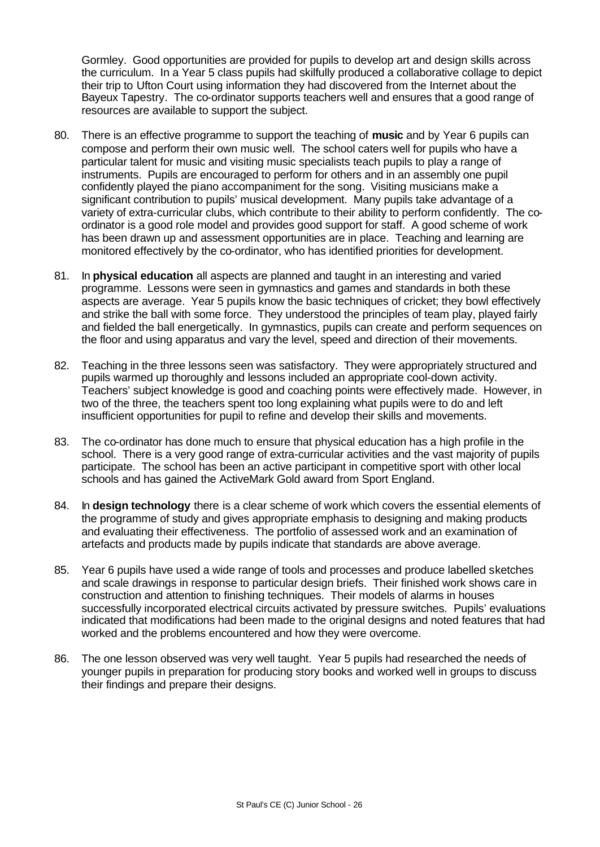Gormley. Good opportunities are provided for pupils to develop art and design skills across the curriculum. In a Year 5 class pupils had skilfully produced a collaborative collage to depict their trip to Ufton Court using information they had discovered from the Internet about the Bayeux Tapestry. The co-ordinator supports teachers well and ensures that a good range of resources are available to support the subject.

- 80. There is an effective programme to support the teaching of **music** and by Year 6 pupils can compose and perform their own music well. The school caters well for pupils who have a particular talent for music and visiting music specialists teach pupils to play a range of instruments. Pupils are encouraged to perform for others and in an assembly one pupil confidently played the piano accompaniment for the song. Visiting musicians make a significant contribution to pupils' musical development. Many pupils take advantage of a variety of extra-curricular clubs, which contribute to their ability to perform confidently. The coordinator is a good role model and provides good support for staff. A good scheme of work has been drawn up and assessment opportunities are in place. Teaching and learning are monitored effectively by the co-ordinator, who has identified priorities for development.
- 81. In **physical education** all aspects are planned and taught in an interesting and varied programme. Lessons were seen in gymnastics and games and standards in both these aspects are average. Year 5 pupils know the basic techniques of cricket; they bowl effectively and strike the ball with some force. They understood the principles of team play, played fairly and fielded the ball energetically. In gymnastics, pupils can create and perform sequences on the floor and using apparatus and vary the level, speed and direction of their movements.
- 82. Teaching in the three lessons seen was satisfactory. They were appropriately structured and pupils warmed up thoroughly and lessons included an appropriate cool-down activity. Teachers' subject knowledge is good and coaching points were effectively made. However, in two of the three, the teachers spent too long explaining what pupils were to do and left insufficient opportunities for pupil to refine and develop their skills and movements.
- 83. The co-ordinator has done much to ensure that physical education has a high profile in the school. There is a very good range of extra-curricular activities and the vast majority of pupils participate. The school has been an active participant in competitive sport with other local schools and has gained the ActiveMark Gold award from Sport England.
- 84. In **design technology** there is a clear scheme of work which covers the essential elements of the programme of study and gives appropriate emphasis to designing and making products and evaluating their effectiveness. The portfolio of assessed work and an examination of artefacts and products made by pupils indicate that standards are above average.
- 85. Year 6 pupils have used a wide range of tools and processes and produce labelled sketches and scale drawings in response to particular design briefs. Their finished work shows care in construction and attention to finishing techniques. Their models of alarms in houses successfully incorporated electrical circuits activated by pressure switches. Pupils' evaluations indicated that modifications had been made to the original designs and noted features that had worked and the problems encountered and how they were overcome.
- 86. The one lesson observed was very well taught. Year 5 pupils had researched the needs of younger pupils in preparation for producing story books and worked well in groups to discuss their findings and prepare their designs.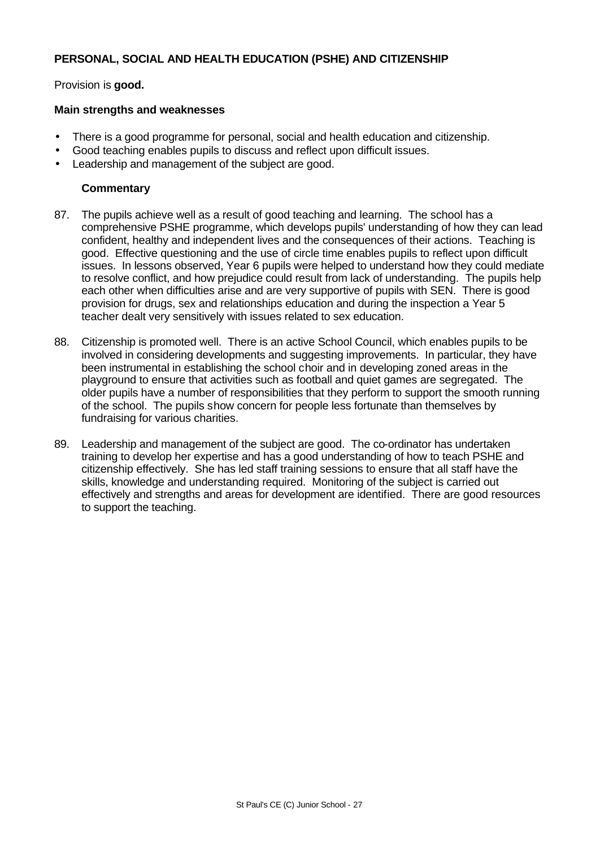#### **PERSONAL, SOCIAL AND HEALTH EDUCATION (PSHE) AND CITIZENSHIP**

Provision is **good.**

#### **Main strengths and weaknesses**

- There is a good programme for personal, social and health education and citizenship.
- Good teaching enables pupils to discuss and reflect upon difficult issues.
- Leadership and management of the subject are good.

- 87. The pupils achieve well as a result of good teaching and learning. The school has a comprehensive PSHE programme, which develops pupils' understanding of how they can lead confident, healthy and independent lives and the consequences of their actions. Teaching is good. Effective questioning and the use of circle time enables pupils to reflect upon difficult issues. In lessons observed, Year 6 pupils were helped to understand how they could mediate to resolve conflict, and how prejudice could result from lack of understanding. The pupils help each other when difficulties arise and are very supportive of pupils with SEN. There is good provision for drugs, sex and relationships education and during the inspection a Year 5 teacher dealt very sensitively with issues related to sex education.
- 88. Citizenship is promoted well. There is an active School Council, which enables pupils to be involved in considering developments and suggesting improvements. In particular, they have been instrumental in establishing the school choir and in developing zoned areas in the playground to ensure that activities such as football and quiet games are segregated. The older pupils have a number of responsibilities that they perform to support the smooth running of the school. The pupils show concern for people less fortunate than themselves by fundraising for various charities.
- 89. Leadership and management of the subject are good. The co-ordinator has undertaken training to develop her expertise and has a good understanding of how to teach PSHE and citizenship effectively. She has led staff training sessions to ensure that all staff have the skills, knowledge and understanding required. Monitoring of the subject is carried out effectively and strengths and areas for development are identified. There are good resources to support the teaching.